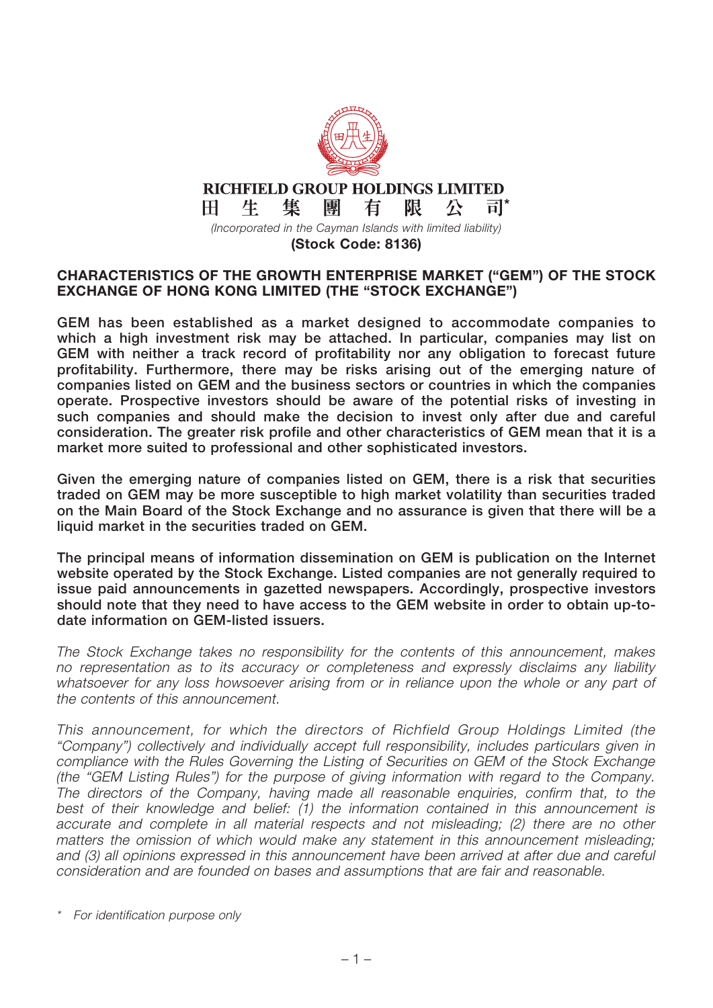

Ħ.

*(Incorporated in the Cayman Islands with limited liability)*

司\*

**(Stock Code: 8136)**

#### **CHARACTERISTICS OF THE GROWTH ENTERPRISE MARKET ("GEM") OF THE STOCK EXCHANGE OF HONG KONG LIMITED (THE "STOCK EXCHANGE")**

**GEM has been established as a market designed to accommodate companies to which a high investment risk may be attached. In particular, companies may list on GEM with neither a track record of profitability nor any obligation to forecast future profitability. Furthermore, there may be risks arising out of the emerging nature of companies listed on GEM and the business sectors or countries in which the companies operate. Prospective investors should be aware of the potential risks of investing in such companies and should make the decision to invest only after due and careful consideration. The greater risk profile and other characteristics of GEM mean that it is a market more suited to professional and other sophisticated investors.**

**Given the emerging nature of companies listed on GEM, there is a risk that securities traded on GEM may be more susceptible to high market volatility than securities traded on the Main Board of the Stock Exchange and no assurance is given that there will be a liquid market in the securities traded on GEM.**

**The principal means of information dissemination on GEM is publication on the Internet website operated by the Stock Exchange. Listed companies are not generally required to issue paid announcements in gazetted newspapers. Accordingly, prospective investors should note that they need to have access to the GEM website in order to obtain up-todate information on GEM-listed issuers.**

The Stock Exchange takes no responsibility for the contents of this announcement, makes no representation as to its accuracy or completeness and expressly disclaims any liability whatsoever for any loss howsoever arising from or in reliance upon the whole or any part of the contents of this announcement.

This announcement, for which the directors of Richfield Group Holdings Limited (the "Company") collectively and individually accept full responsibility, includes particulars given in compliance with the Rules Governing the Listing of Securities on GEM of the Stock Exchange (the "GEM Listing Rules") for the purpose of giving information with regard to the Company. The directors of the Company, having made all reasonable enquiries, confirm that, to the best of their knowledge and belief: (1) the information contained in this announcement is accurate and complete in all material respects and not misleading; (2) there are no other matters the omission of which would make any statement in this announcement misleading; and (3) all opinions expressed in this announcement have been arrived at after due and careful consideration and are founded on bases and assumptions that are fair and reasonable.

For identification purpose only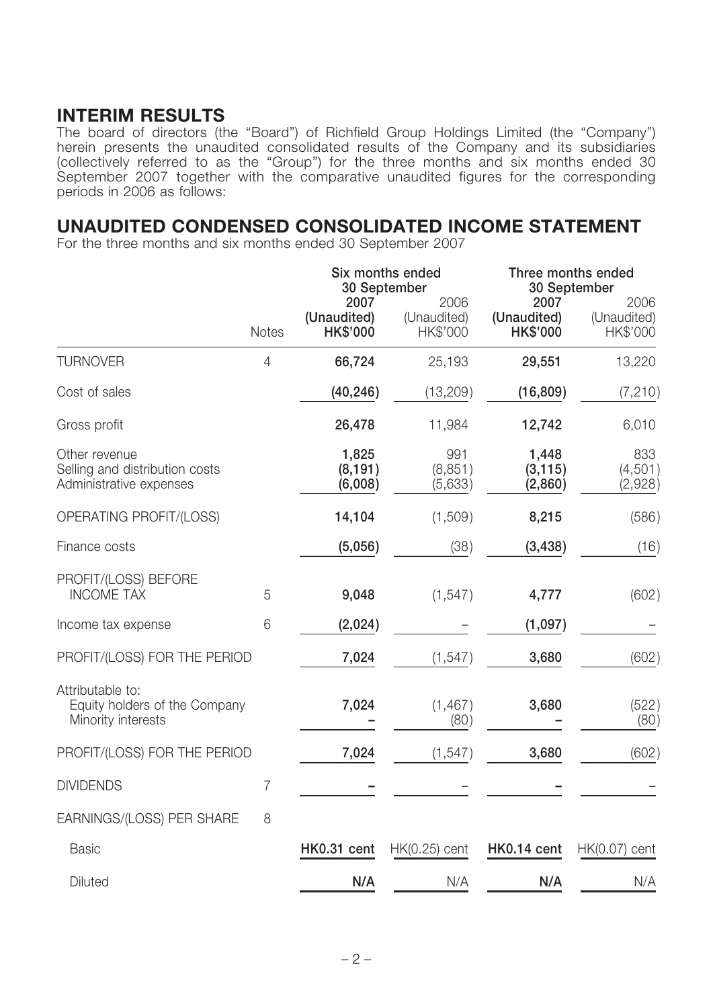## **INTERIM RESULTS**

The board of directors (the "Board") of Richfield Group Holdings Limited (the "Company") herein presents the unaudited consolidated results of the Company and its subsidiaries (collectively referred to as the "Group") for the three months and six months ended 30 September 2007 together with the comparative unaudited figures for the corresponding periods in 2006 as follows:

### **UNAUDITED CONDENSED CONSOLIDATED INCOME STATEMENT**

For the three months and six months ended 30 September 2007

|                                                                            |                |                                 | Six months ended<br>30 September | Three months ended<br>30 September |                                 |  |
|----------------------------------------------------------------------------|----------------|---------------------------------|----------------------------------|------------------------------------|---------------------------------|--|
|                                                                            | <b>Notes</b>   | 2007<br>(Unaudited)<br>HK\$'000 | 2006<br>(Unaudited)<br>HK\$'000  | 2007<br>(Unaudited)<br>HK\$'000    | 2006<br>(Unaudited)<br>HK\$'000 |  |
| <b>TURNOVER</b>                                                            | $\overline{4}$ | 66,724                          | 25,193                           | 29,551                             | 13,220                          |  |
| Cost of sales                                                              |                | (40, 246)                       | (13, 209)                        | (16, 809)                          | (7, 210)                        |  |
| Gross profit                                                               |                | 26,478                          | 11,984                           | 12,742                             | 6,010                           |  |
| Other revenue<br>Selling and distribution costs<br>Administrative expenses |                | 1,825<br>(8, 191)<br>(6,008)    | 991<br>(8, 851)<br>(5,633)       | 1,448<br>(3, 115)<br>(2,860)       | 833<br>(4,501)<br>(2,928)       |  |
| OPERATING PROFIT/(LOSS)                                                    |                | 14,104                          | (1,509)                          | 8,215                              | (586)                           |  |
| Finance costs                                                              |                | (5,056)                         | (38)                             | (3, 438)                           | (16)                            |  |
| PROFIT/(LOSS) BEFORE<br><b>INCOME TAX</b>                                  | 5              | 9,048                           | (1, 547)                         | 4,777                              | (602)                           |  |
| Income tax expense                                                         | 6              | (2,024)                         |                                  | (1,097)                            |                                 |  |
| PROFIT/(LOSS) FOR THE PERIOD                                               |                | 7,024                           | (1, 547)                         | 3,680                              | (602)                           |  |
| Attributable to:<br>Equity holders of the Company<br>Minority interests    |                | 7,024                           | (1, 467)<br>(80)                 | 3,680                              | (522)<br>(80)                   |  |
| PROFIT/(LOSS) FOR THE PERIOD                                               |                | 7,024                           | (1, 547)                         | 3,680                              | (602)                           |  |
| <b>DIVIDENDS</b>                                                           | $\overline{7}$ |                                 |                                  |                                    |                                 |  |
| EARNINGS/(LOSS) PER SHARE                                                  | 8              |                                 |                                  |                                    |                                 |  |
| <b>Basic</b>                                                               |                | HK0.31 cent                     | $HK(0.25)$ cent                  | HK0.14 cent                        | $HK(0.07)$ cent                 |  |
| Diluted                                                                    |                | N/A                             | N/A                              | N/A                                | N/A                             |  |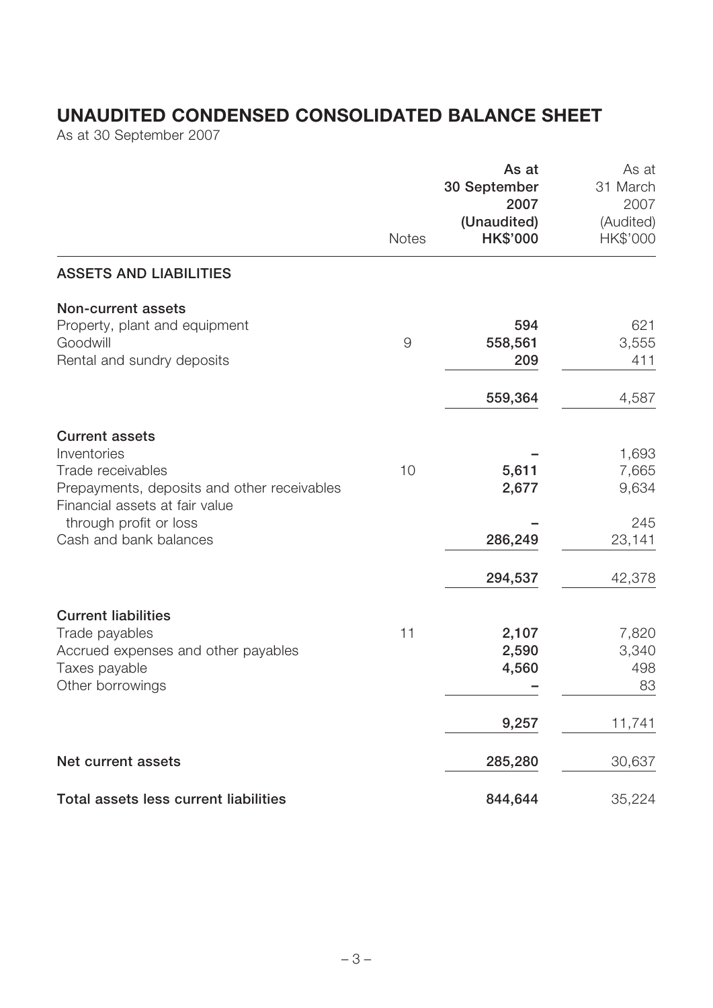# **UNAUDITED CONDENSED CONSOLIDATED BALANCE SHEET**

As at 30 September 2007

|                                                                                                                                                                                                | <b>Notes</b> | As at<br>30 September<br>2007<br>(Unaudited)<br><b>HK\$'000</b> | As at<br>31 March<br>2007<br>(Audited)<br>HK\$'000 |
|------------------------------------------------------------------------------------------------------------------------------------------------------------------------------------------------|--------------|-----------------------------------------------------------------|----------------------------------------------------|
| <b>ASSETS AND LIABILITIES</b>                                                                                                                                                                  |              |                                                                 |                                                    |
| <b>Non-current assets</b><br>Property, plant and equipment<br>Goodwill<br>Rental and sundry deposits                                                                                           | $\Theta$     | 594<br>558,561<br>209                                           | 621<br>3,555<br>411                                |
|                                                                                                                                                                                                |              | 559,364                                                         | 4,587                                              |
| <b>Current assets</b><br>Inventories<br>Trade receivables<br>Prepayments, deposits and other receivables<br>Financial assets at fair value<br>through profit or loss<br>Cash and bank balances | 10           | 5,611<br>2,677<br>286,249                                       | 1,693<br>7,665<br>9,634<br>245<br>23,141           |
|                                                                                                                                                                                                |              | 294,537                                                         | 42,378                                             |
| <b>Current liabilities</b><br>Trade payables<br>Accrued expenses and other payables<br>Taxes payable<br>Other borrowings                                                                       | 11           | 2,107<br>2,590<br>4,560                                         | 7,820<br>3,340<br>498<br>83                        |
|                                                                                                                                                                                                |              | 9,257                                                           | 11,741                                             |
| Net current assets                                                                                                                                                                             |              | 285,280                                                         | 30,637                                             |
| Total assets less current liabilities                                                                                                                                                          |              | 844,644                                                         | 35,224                                             |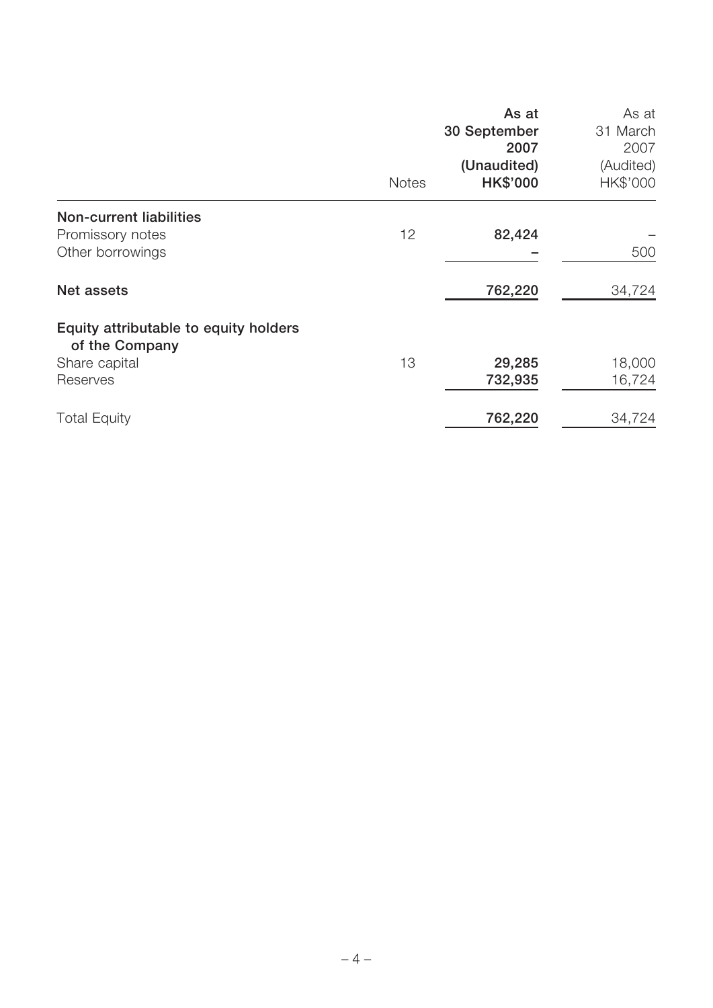|                                                         | <b>Notes</b> | As at<br>30 September<br>2007<br>(Unaudited)<br><b>HK\$'000</b> | As at<br>31 March<br>2007<br>(Audited)<br>HK\$'000 |
|---------------------------------------------------------|--------------|-----------------------------------------------------------------|----------------------------------------------------|
| <b>Non-current liabilities</b><br>Promissory notes      | 12           | 82,424                                                          |                                                    |
| Other borrowings                                        |              |                                                                 | 500                                                |
| Net assets                                              |              | 762,220                                                         | 34,724                                             |
| Equity attributable to equity holders<br>of the Company |              |                                                                 |                                                    |
| Share capital                                           | 13           | 29,285                                                          | 18,000                                             |
| Reserves                                                |              | 732,935                                                         | 16,724                                             |
| <b>Total Equity</b>                                     |              | 762,220                                                         | 34,724                                             |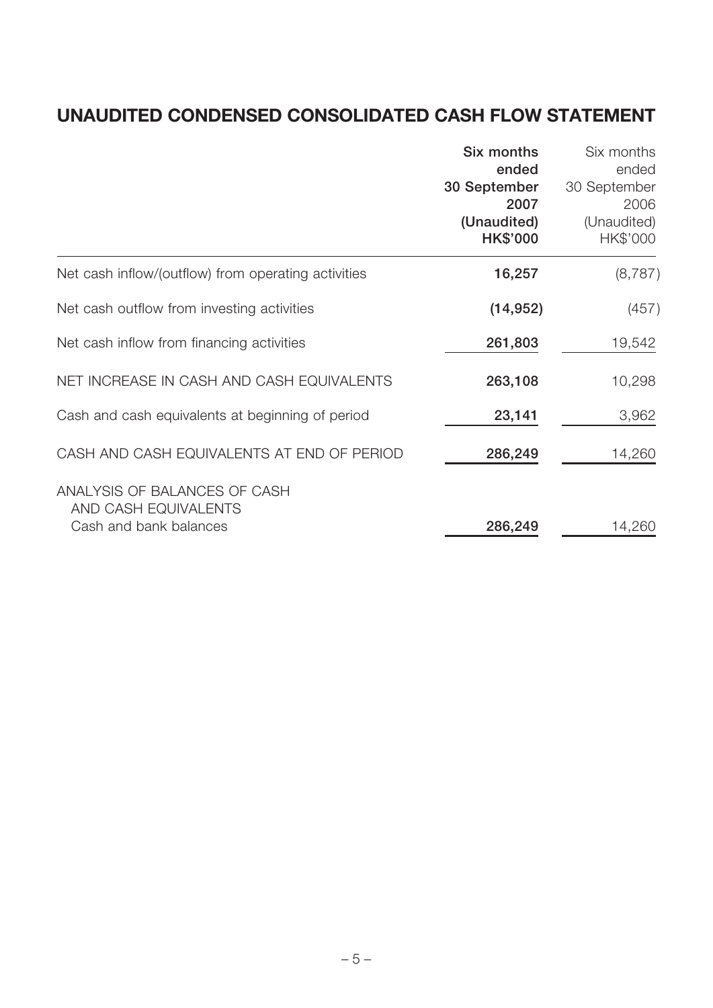# **UNAUDITED CONDENSED CONSOLIDATED CASH FLOW STATEMENT**

|                                                                                | Six months<br>ended<br>30 September<br>2007<br>(Unaudited)<br><b>HK\$'000</b> | Six months<br>ended<br>30 September<br>2006<br>(Unaudited)<br>HK\$'000 |
|--------------------------------------------------------------------------------|-------------------------------------------------------------------------------|------------------------------------------------------------------------|
| Net cash inflow/(outflow) from operating activities                            | 16,257                                                                        | (8, 787)                                                               |
| Net cash outflow from investing activities                                     | (14, 952)                                                                     | (457)                                                                  |
| Net cash inflow from financing activities                                      | 261,803                                                                       | 19,542                                                                 |
| NET INCREASE IN CASH AND CASH EQUIVALENTS                                      | 263,108                                                                       | 10,298                                                                 |
| Cash and cash equivalents at beginning of period                               | 23,141                                                                        | 3,962                                                                  |
| CASH AND CASH EQUIVALENTS AT END OF PERIOD                                     | 286,249                                                                       | 14,260                                                                 |
| ANALYSIS OF BALANCES OF CASH<br>AND CASH EQUIVALENTS<br>Cash and bank balances | 286,249                                                                       | 14,260                                                                 |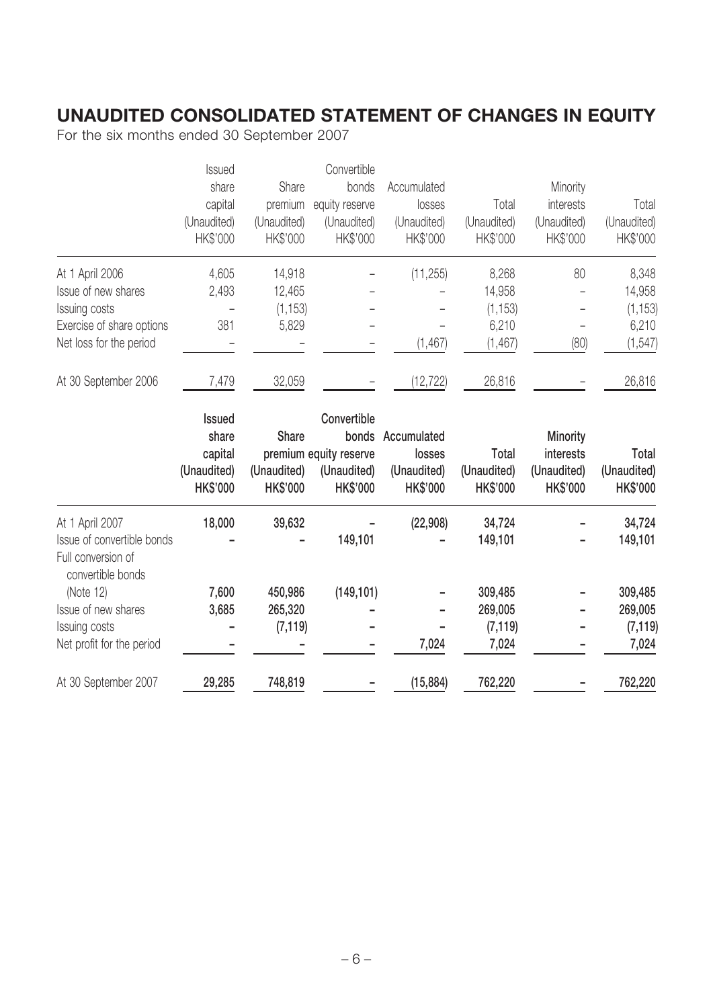# **UNAUDITED CONSOLIDATED STATEMENT OF CHANGES IN EQUITY**

For the six months ended 30 September 2007

|                                                                       | Issued                                    |                                | Convertible                                              |                                          |                                         |                                             |                                         |
|-----------------------------------------------------------------------|-------------------------------------------|--------------------------------|----------------------------------------------------------|------------------------------------------|-----------------------------------------|---------------------------------------------|-----------------------------------------|
|                                                                       | share                                     | Share                          | bonds                                                    | Accumulated                              |                                         | Minority                                    |                                         |
|                                                                       | capital                                   | premium                        | equity reserve                                           | losses                                   | Total                                   | interests                                   | Total                                   |
|                                                                       | (Unaudited)                               | (Unaudited)                    | (Unaudited)                                              | (Unaudited)                              | (Unaudited)                             | (Unaudited)                                 | (Unaudited)                             |
|                                                                       | HK\$'000                                  | HK\$'000                       | HK\$'000                                                 | HK\$'000                                 | HK\$'000                                | HK\$'000                                    | HK\$'000                                |
| At 1 April 2006                                                       | 4,605                                     | 14,918                         |                                                          | (11, 255)                                | 8,268                                   | 80                                          | 8,348                                   |
| Issue of new shares                                                   | 2,493                                     | 12,465                         |                                                          |                                          | 14,958                                  |                                             | 14,958                                  |
| Issuing costs                                                         |                                           | (1, 153)                       |                                                          |                                          | (1, 153)                                |                                             | (1, 153)                                |
| Exercise of share options                                             | 381                                       | 5,829                          |                                                          |                                          | 6,210                                   |                                             | 6,210                                   |
| Net loss for the period                                               |                                           |                                |                                                          | (1, 467)                                 | (1, 467)                                | (80)                                        | (1, 547)                                |
| At 30 September 2006                                                  | 7,479                                     | 32,059                         |                                                          | (12, 722)                                | 26,816                                  |                                             | 26,816                                  |
|                                                                       | <b>Issued</b><br>share                    |                                | Convertible                                              |                                          |                                         |                                             |                                         |
|                                                                       |                                           | <b>Share</b>                   | bonds                                                    | Accumulated                              |                                         | Minority                                    |                                         |
|                                                                       | capital<br>(Unaudited)<br><b>HK\$'000</b> | (Unaudited)<br><b>HK\$'000</b> | premium equity reserve<br>(Unaudited)<br><b>HK\$'000</b> | losses<br>(Unaudited)<br><b>HK\$'000</b> | Total<br>(Unaudited)<br><b>HK\$'000</b> | interests<br>(Unaudited)<br><b>HK\$'000</b> | Total<br>(Unaudited)<br><b>HK\$'000</b> |
| At 1 April 2007                                                       | 18,000                                    | 39,632                         |                                                          | (22, 908)                                | 34,724                                  |                                             | 34,724                                  |
| Issue of convertible bonds<br>Full conversion of<br>convertible bonds |                                           |                                | 149,101                                                  |                                          | 149,101                                 |                                             | 149,101                                 |
| (Note 12)                                                             | 7,600                                     | 450,986                        | (149, 101)                                               |                                          | 309,485                                 |                                             | 309,485                                 |
| Issue of new shares                                                   | 3,685                                     | 265,320                        |                                                          |                                          | 269,005                                 |                                             | 269,005                                 |
| Issuing costs                                                         |                                           | (7, 119)                       |                                                          |                                          | (7, 119)                                |                                             | (7, 119)                                |
| Net profit for the period                                             |                                           |                                |                                                          | 7,024                                    | 7,024                                   |                                             | 7,024                                   |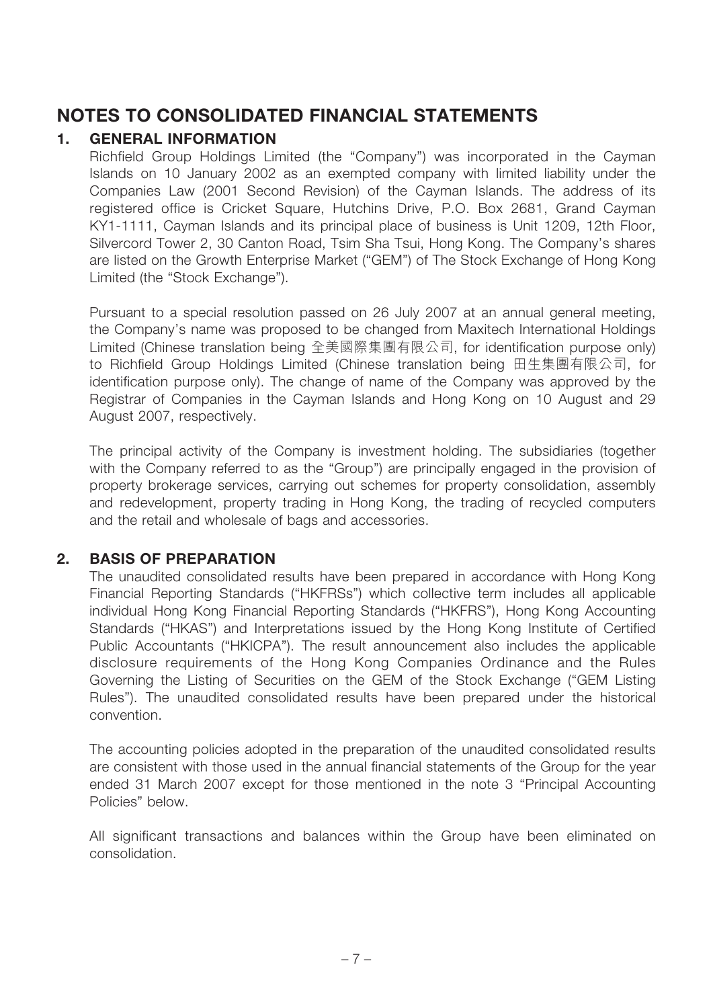## **NOTES TO CONSOLIDATED FINANCIAL STATEMENTS**

### **1. GENERAL INFORMATION**

Richfield Group Holdings Limited (the "Company") was incorporated in the Cayman Islands on 10 January 2002 as an exempted company with limited liability under the Companies Law (2001 Second Revision) of the Cayman Islands. The address of its registered office is Cricket Square, Hutchins Drive, P.O. Box 2681, Grand Cayman KY1-1111, Cayman Islands and its principal place of business is Unit 1209, 12th Floor, Silvercord Tower 2, 30 Canton Road, Tsim Sha Tsui, Hong Kong. The Company's shares are listed on the Growth Enterprise Market ("GEM") of The Stock Exchange of Hong Kong Limited (the "Stock Exchange").

Pursuant to a special resolution passed on 26 July 2007 at an annual general meeting, the Company's name was proposed to be changed from Maxitech International Holdings Limited (Chinese translation being 全美國際集團有限公司, for identification purpose only) to Richfield Group Holdings Limited (Chinese translation being 田生集團有限公司, for identification purpose only). The change of name of the Company was approved by the Registrar of Companies in the Cayman Islands and Hong Kong on 10 August and 29 August 2007, respectively.

The principal activity of the Company is investment holding. The subsidiaries (together with the Company referred to as the "Group") are principally engaged in the provision of property brokerage services, carrying out schemes for property consolidation, assembly and redevelopment, property trading in Hong Kong, the trading of recycled computers and the retail and wholesale of bags and accessories.

#### **2. BASIS OF PREPARATION**

The unaudited consolidated results have been prepared in accordance with Hong Kong Financial Reporting Standards ("HKFRSs") which collective term includes all applicable individual Hong Kong Financial Reporting Standards ("HKFRS"), Hong Kong Accounting Standards ("HKAS") and Interpretations issued by the Hong Kong Institute of Certified Public Accountants ("HKICPA"). The result announcement also includes the applicable disclosure requirements of the Hong Kong Companies Ordinance and the Rules Governing the Listing of Securities on the GEM of the Stock Exchange ("GEM Listing Rules"). The unaudited consolidated results have been prepared under the historical convention.

The accounting policies adopted in the preparation of the unaudited consolidated results are consistent with those used in the annual financial statements of the Group for the year ended 31 March 2007 except for those mentioned in the note 3 "Principal Accounting Policies" below.

All significant transactions and balances within the Group have been eliminated on consolidation.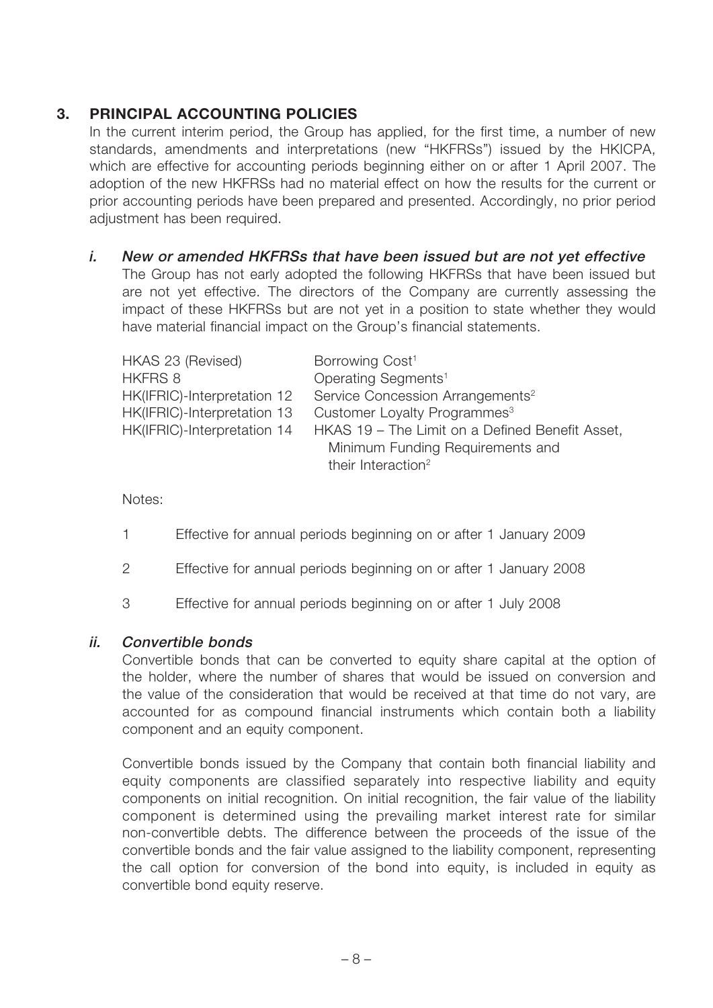### **3. PRINCIPAL ACCOUNTING POLICIES**

In the current interim period, the Group has applied, for the first time, a number of new standards, amendments and interpretations (new "HKFRSs") issued by the HKICPA, which are effective for accounting periods beginning either on or after 1 April 2007. The adoption of the new HKFRSs had no material effect on how the results for the current or prior accounting periods have been prepared and presented. Accordingly, no prior period adiustment has been required.

**i. New or amended HKFRSs that have been issued but are not yet effective** The Group has not early adopted the following HKFRSs that have been issued but are not yet effective. The directors of the Company are currently assessing the impact of these HKFRSs but are not yet in a position to state whether they would have material financial impact on the Group's financial statements.

| HKAS 23 (Revised)<br><b>HKFRS 8</b><br>HK(IFRIC)-Interpretation 12<br>HK(IFRIC)-Interpretation 13<br>HK(IFRIC)-Interpretation 14 | Borrowing Cost <sup>1</sup><br>Operating Segments <sup>1</sup><br>Service Concession Arrangements <sup>2</sup><br>Customer Loyalty Programmes <sup>3</sup><br>HKAS 19 - The Limit on a Defined Benefit Asset,<br>Minimum Funding Requirements and |
|----------------------------------------------------------------------------------------------------------------------------------|---------------------------------------------------------------------------------------------------------------------------------------------------------------------------------------------------------------------------------------------------|
|                                                                                                                                  | their Interaction <sup>2</sup>                                                                                                                                                                                                                    |

Notes:

- 1 Effective for annual periods beginning on or after 1 January 2009
- 2 Effective for annual periods beginning on or after 1 January 2008
- 3 Effective for annual periods beginning on or after 1 July 2008

#### **ii. Convertible bonds**

Convertible bonds that can be converted to equity share capital at the option of the holder, where the number of shares that would be issued on conversion and the value of the consideration that would be received at that time do not vary, are accounted for as compound financial instruments which contain both a liability component and an equity component.

Convertible bonds issued by the Company that contain both financial liability and equity components are classified separately into respective liability and equity components on initial recognition. On initial recognition, the fair value of the liability component is determined using the prevailing market interest rate for similar non-convertible debts. The difference between the proceeds of the issue of the convertible bonds and the fair value assigned to the liability component, representing the call option for conversion of the bond into equity, is included in equity as convertible bond equity reserve.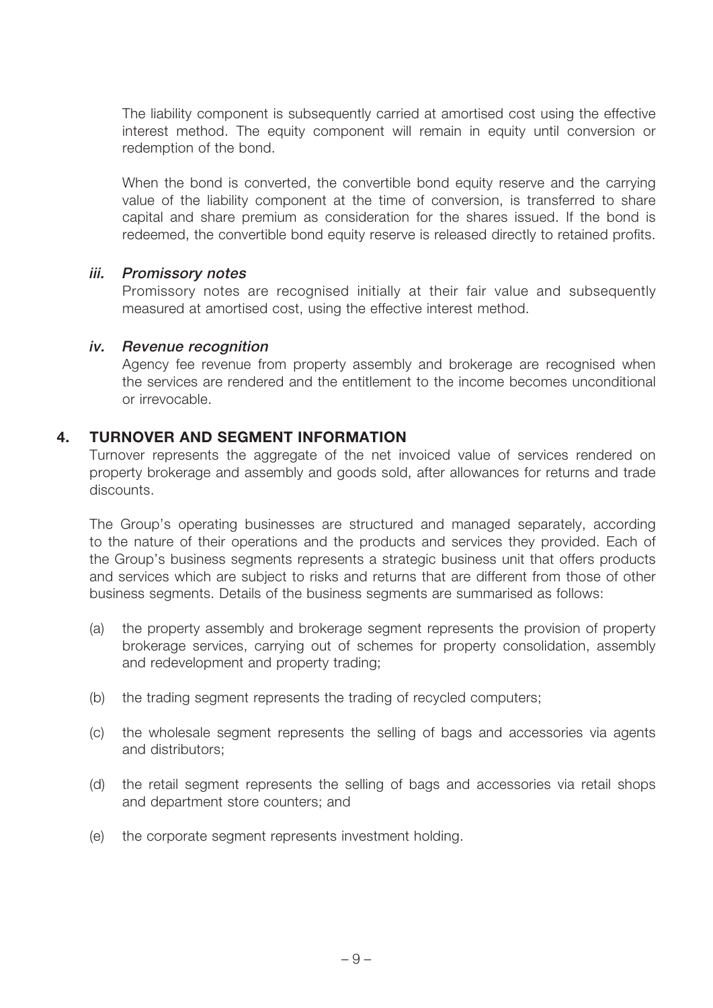The liability component is subsequently carried at amortised cost using the effective interest method. The equity component will remain in equity until conversion or redemption of the bond.

When the bond is converted, the convertible bond equity reserve and the carrying value of the liability component at the time of conversion, is transferred to share capital and share premium as consideration for the shares issued. If the bond is redeemed, the convertible bond equity reserve is released directly to retained profits.

#### **iii. Promissory notes**

Promissory notes are recognised initially at their fair value and subsequently measured at amortised cost, using the effective interest method.

#### **iv. Revenue recognition**

Agency fee revenue from property assembly and brokerage are recognised when the services are rendered and the entitlement to the income becomes unconditional or irrevocable.

#### **4. TURNOVER AND SEGMENT INFORMATION**

Turnover represents the aggregate of the net invoiced value of services rendered on property brokerage and assembly and goods sold, after allowances for returns and trade discounts.

The Group's operating businesses are structured and managed separately, according to the nature of their operations and the products and services they provided. Each of the Group's business segments represents a strategic business unit that offers products and services which are subject to risks and returns that are different from those of other business segments. Details of the business segments are summarised as follows:

- (a) the property assembly and brokerage segment represents the provision of property brokerage services, carrying out of schemes for property consolidation, assembly and redevelopment and property trading;
- (b) the trading segment represents the trading of recycled computers;
- (c) the wholesale segment represents the selling of bags and accessories via agents and distributors;
- (d) the retail segment represents the selling of bags and accessories via retail shops and department store counters; and
- (e) the corporate segment represents investment holding.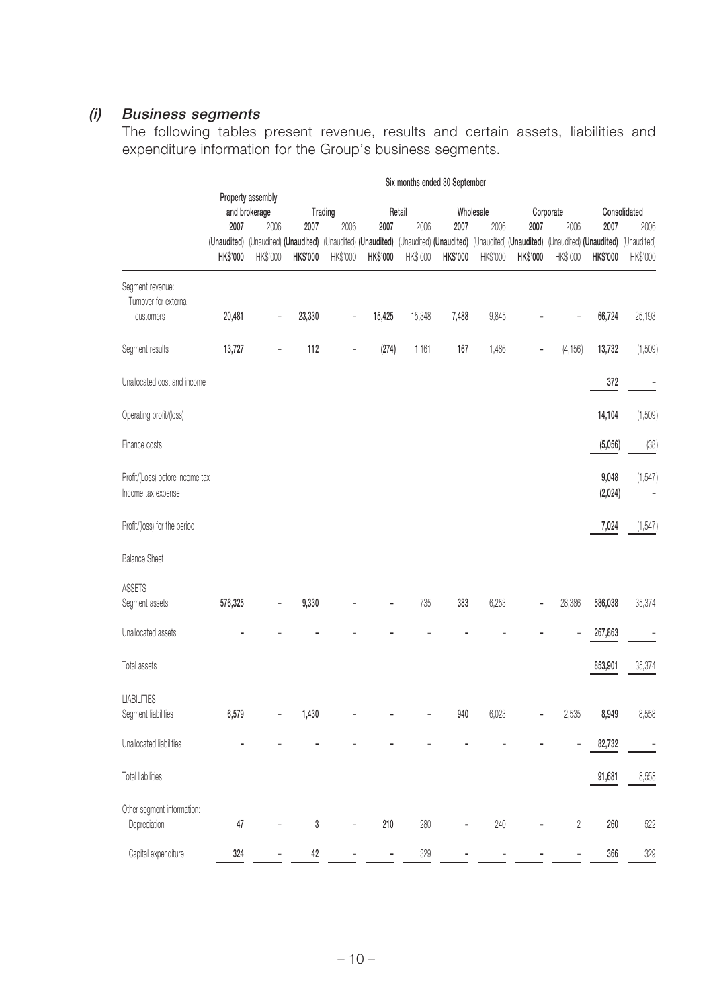### **(i) Business segments**

The following tables present revenue, results and certain assets, liabilities and expenditure information for the Group's business segments.

|                                                        | Six months ended 30 September      |                                                                                                                                                 |          |                              |          |                |          |                           |                         |                   |                              |                         |
|--------------------------------------------------------|------------------------------------|-------------------------------------------------------------------------------------------------------------------------------------------------|----------|------------------------------|----------|----------------|----------|---------------------------|-------------------------|-------------------|------------------------------|-------------------------|
|                                                        | Property assembly<br>and brokerage |                                                                                                                                                 |          |                              |          |                |          |                           |                         |                   |                              |                         |
|                                                        | 2007                               | 2006                                                                                                                                            | 2007     | Trading<br>2006              | 2007     | Retail<br>2006 |          | Wholesale<br>2007<br>2006 |                         | Corporate<br>2006 | Consolidated<br>2007<br>2006 |                         |
|                                                        | <b>HK\$'000</b>                    | (Unaudited) (Unaudited) (Unaudited) (Unaudited) (Unaudited) (Unaudited) (Unaudited) (Unaudited) (Unaudited) (Unaudited) (Unaudited)<br>HK\$'000 | HK\$'000 | HK\$'000                     | HK\$'000 | HK\$'000       | HK\$'000 | HK\$'000                  | 2007<br><b>HK\$'000</b> | HK\$'000          | HK\$'000                     | (Unaudited)<br>HK\$'000 |
| Segment revenue:<br>Turnover for external<br>customers | 20,481                             | -                                                                                                                                               | 23,330   | $\overline{\phantom{0}}$     | 15,425   | 15,348         | 7,488    | 9,845                     |                         |                   | 66,724                       | 25,193                  |
| Segment results                                        | 13,727                             | $\overline{\phantom{0}}$                                                                                                                        | 112      | $\qquad \qquad \blacksquare$ | (274)    | 1,161          | 167      | 1,486                     |                         | (4, 156)          | 13,732                       | (1,509)                 |
| Unallocated cost and income                            |                                    |                                                                                                                                                 |          |                              |          |                |          |                           |                         |                   | 372                          |                         |
| Operating profit/(loss)                                |                                    |                                                                                                                                                 |          |                              |          |                |          |                           |                         |                   | 14,104                       | (1,509)                 |
| Finance costs                                          |                                    |                                                                                                                                                 |          |                              |          |                |          |                           |                         |                   | (5,056)                      | (38)                    |
| Profit/(Loss) before income tax<br>Income tax expense  |                                    |                                                                                                                                                 |          |                              |          |                |          |                           |                         |                   | 9,048<br>(2,024)             | (1, 547)                |
| Profit/(loss) for the period                           |                                    |                                                                                                                                                 |          |                              |          |                |          |                           |                         |                   | 7,024                        | (1, 547)                |
| <b>Balance Sheet</b>                                   |                                    |                                                                                                                                                 |          |                              |          |                |          |                           |                         |                   |                              |                         |
| <b>ASSETS</b><br>Segment assets                        | 576,325                            |                                                                                                                                                 | 9,330    |                              |          | 735            | 383      | 6,253                     |                         | 28,386            | 586,038                      | 35,374                  |
| Unallocated assets                                     |                                    |                                                                                                                                                 |          |                              |          |                |          |                           |                         |                   | 267,863                      |                         |
| Total assets                                           |                                    |                                                                                                                                                 |          |                              |          |                |          |                           |                         |                   | 853,901                      | 35,374                  |
| <b>LIABILITIES</b><br>Segment liabilities              | 6,579                              |                                                                                                                                                 | 1,430    |                              |          |                | 940      | 6,023                     |                         | 2,535             | 8,949                        | 8,558                   |
| Unallocated liabilities                                |                                    |                                                                                                                                                 |          |                              |          |                |          |                           |                         |                   | 82,732                       |                         |
| Total liabilities                                      |                                    |                                                                                                                                                 |          |                              |          |                |          |                           |                         |                   | 91,681                       | 8,558                   |
| Other segment information:<br>Depreciation             | 47                                 |                                                                                                                                                 | 3        |                              | 210      | 280            |          | 240                       |                         | $\sqrt{2}$        | 260                          | 522                     |
| Capital expenditure                                    | 324                                |                                                                                                                                                 | 42       |                              | ۰        | 329            |          |                           |                         |                   | 366                          | 329                     |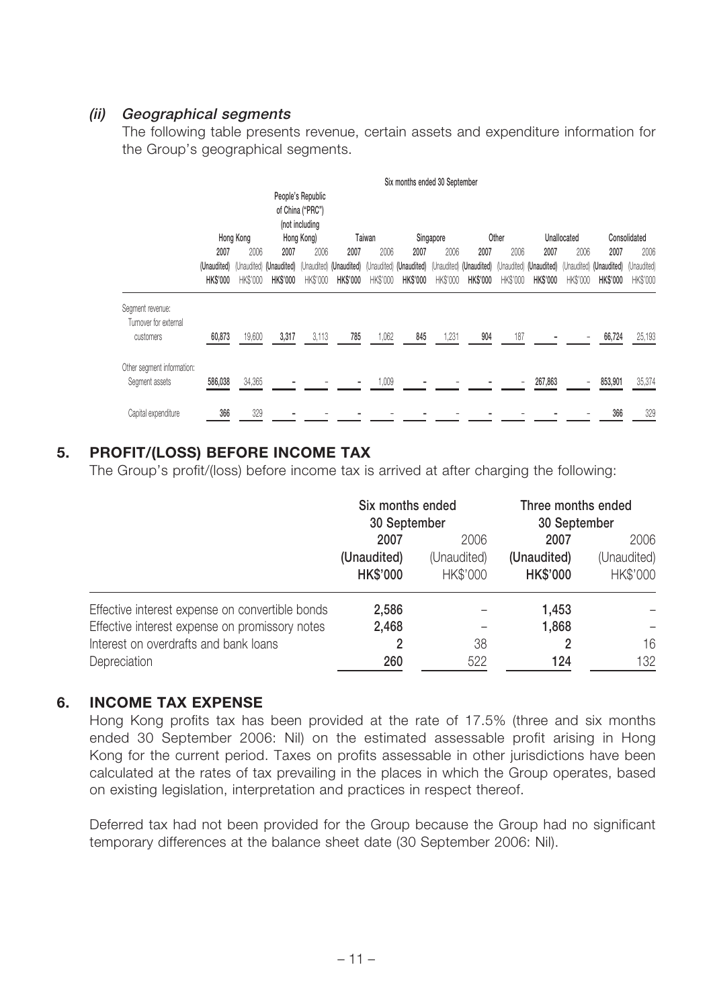#### **(ii) Geographical segments**

The following table presents revenue, certain assets and expenditure information for the Group's geographical segments.

|                                                        |                                                                                              |                                        |                                        |                  |                                                    |                  | Six months ended 30 September |                  |                         |                  |                                                                                                    |                         |                                                    |                                 |
|--------------------------------------------------------|----------------------------------------------------------------------------------------------|----------------------------------------|----------------------------------------|------------------|----------------------------------------------------|------------------|-------------------------------|------------------|-------------------------|------------------|----------------------------------------------------------------------------------------------------|-------------------------|----------------------------------------------------|---------------------------------|
|                                                        | People's Republic<br>of China ("PRC")<br>(not including<br>Hong Kong<br>Hong Kong)<br>Taiwan |                                        |                                        |                  |                                                    | Singapore        |                               | Other            |                         | Unallocated      |                                                                                                    | Consolidated            |                                                    |                                 |
|                                                        | 2007<br>(Unaudited)<br><b>HKS'000</b>                                                        | 2006<br>(Unaudited)<br><b>HK\$'000</b> | 2007<br>(Unaudited)<br><b>HK\$'000</b> | 2006<br>HK\$'000 | 2007<br>(Unaudited) (Unaudited)<br><b>HK\$'000</b> | 2006<br>HK\$'000 | 2007<br><b>HK\$'000</b>       | 2006<br>HK\$'000 | 2007<br><b>HK\$'000</b> | 2006<br>HK\$'000 | 2007<br>(Unaudited) (Unaudited) (Unaudited) (Unaudited) (Unaudited) (Unaudited)<br><b>HK\$'000</b> | 2006<br><b>HK\$'000</b> | 2007<br>(Unaudited) (Unaudited)<br><b>HK\$'000</b> | 2006<br>(Unaudited)<br>HK\$'000 |
| Segment revenue:<br>Turnover for external<br>customers | 60,873                                                                                       | 19,600                                 | 3,317                                  | 3,113            | 785                                                | 1,062            | 845                           | 1,231            | 904                     | 187              |                                                                                                    |                         | 66,724                                             | 25,193                          |
| Other segment information:<br>Segment assets           | 586,038                                                                                      | 34,365                                 |                                        |                  |                                                    | 1,009            |                               |                  |                         |                  | 267,863                                                                                            |                         | 853,901                                            | 35,374                          |
| Capital expenditure                                    | 366                                                                                          | 329                                    |                                        |                  |                                                    |                  |                               |                  |                         |                  |                                                                                                    |                         | 366                                                | 329                             |

### **5. PROFIT/(LOSS) BEFORE INCOME TAX**

The Group's profit/(loss) before income tax is arrived at after charging the following:

|                                                 | Six months ended<br>30 September |                         | Three months ended<br>30 September |                         |  |
|-------------------------------------------------|----------------------------------|-------------------------|------------------------------------|-------------------------|--|
|                                                 | 2007<br>2006                     |                         | 2007                               | 2006                    |  |
|                                                 | (Unaudited)<br><b>HK\$'000</b>   | (Unaudited)<br>HK\$'000 | (Unaudited)<br><b>HK\$'000</b>     | (Unaudited)<br>HK\$'000 |  |
| Effective interest expense on convertible bonds | 2,586                            |                         | 1,453                              |                         |  |
| Effective interest expense on promissory notes  | 2,468                            |                         | 1,868                              |                         |  |
| Interest on overdrafts and bank loans           | 2                                | 38                      |                                    | 16                      |  |
| Depreciation                                    | 260                              | 522                     | 124                                | 132                     |  |

#### **6. INCOME TAX EXPENSE**

Hong Kong profits tax has been provided at the rate of 17.5% (three and six months ended 30 September 2006: Nil) on the estimated assessable profit arising in Hong Kong for the current period. Taxes on profits assessable in other jurisdictions have been calculated at the rates of tax prevailing in the places in which the Group operates, based on existing legislation, interpretation and practices in respect thereof.

Deferred tax had not been provided for the Group because the Group had no significant temporary differences at the balance sheet date (30 September 2006: Nil).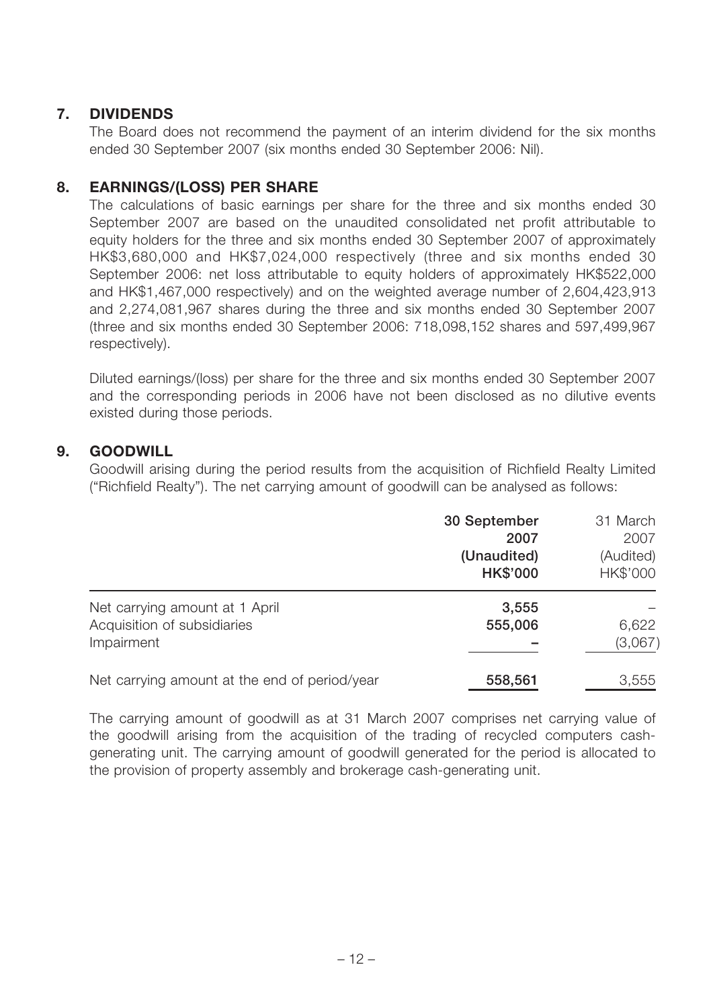### **7. DIVIDENDS**

The Board does not recommend the payment of an interim dividend for the six months ended 30 September 2007 (six months ended 30 September 2006: Nil).

#### **8. EARNINGS/(LOSS) PER SHARE**

The calculations of basic earnings per share for the three and six months ended 30 September 2007 are based on the unaudited consolidated net profit attributable to equity holders for the three and six months ended 30 September 2007 of approximately HK\$3,680,000 and HK\$7,024,000 respectively (three and six months ended 30 September 2006: net loss attributable to equity holders of approximately HK\$522,000 and HK\$1,467,000 respectively) and on the weighted average number of 2,604,423,913 and 2,274,081,967 shares during the three and six months ended 30 September 2007 (three and six months ended 30 September 2006: 718,098,152 shares and 597,499,967 respectively).

Diluted earnings/(loss) per share for the three and six months ended 30 September 2007 and the corresponding periods in 2006 have not been disclosed as no dilutive events existed during those periods.

#### **9. GOODWILL**

Goodwill arising during the period results from the acquisition of Richfield Realty Limited ("Richfield Realty"). The net carrying amount of goodwill can be analysed as follows:

|                                                                             | 30 September<br>2007<br>(Unaudited)<br><b>HK\$'000</b> | 31 March<br>2007<br>(Audited)<br>HK\$'000 |
|-----------------------------------------------------------------------------|--------------------------------------------------------|-------------------------------------------|
| Net carrying amount at 1 April<br>Acquisition of subsidiaries<br>Impairment | 3,555<br>555,006                                       | 6,622<br>(3,067)                          |
| Net carrying amount at the end of period/year                               | 558,561                                                | 3,555                                     |

The carrying amount of goodwill as at 31 March 2007 comprises net carrying value of the goodwill arising from the acquisition of the trading of recycled computers cashgenerating unit. The carrying amount of goodwill generated for the period is allocated to the provision of property assembly and brokerage cash-generating unit.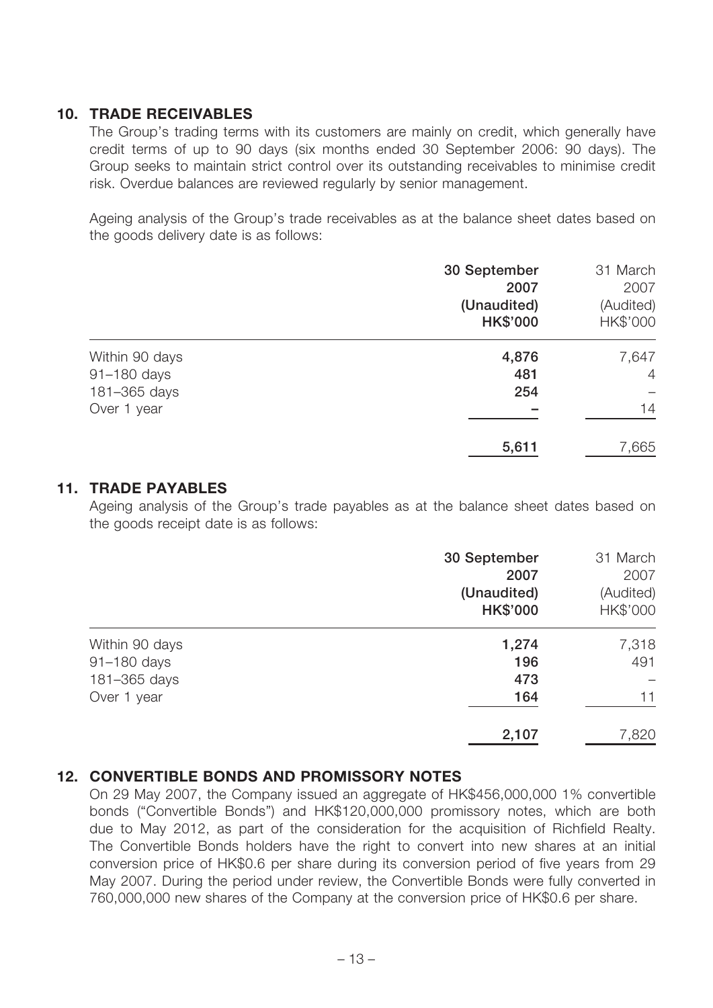#### **10. TRADE RECEIVABLES**

The Group's trading terms with its customers are mainly on credit, which generally have credit terms of up to 90 days (six months ended 30 September 2006: 90 days). The Group seeks to maintain strict control over its outstanding receivables to minimise credit risk. Overdue balances are reviewed regularly by senior management.

Ageing analysis of the Group's trade receivables as at the balance sheet dates based on the goods delivery date is as follows:

|                | 30 September    | 31 March       |
|----------------|-----------------|----------------|
|                | 2007            | 2007           |
|                | (Unaudited)     | (Audited)      |
|                | <b>HK\$'000</b> | HK\$'000       |
| Within 90 days | 4,876           | 7,647          |
| 91-180 days    | 481             | $\overline{4}$ |
| 181-365 days   | 254             |                |
| Over 1 year    |                 | 14             |
|                | 5,611           | 7,665          |

#### **11. TRADE PAYABLES**

Ageing analysis of the Group's trade payables as at the balance sheet dates based on the goods receipt date is as follows:

|                | 30 September<br>2007<br>(Unaudited)<br><b>HK\$'000</b> | 31 March<br>2007<br>(Audited)<br>HK\$'000 |
|----------------|--------------------------------------------------------|-------------------------------------------|
| Within 90 days | 1,274                                                  | 7,318                                     |
| 91-180 days    | 196                                                    | 491                                       |
| 181-365 days   | 473                                                    |                                           |
| Over 1 year    | 164                                                    | 11                                        |
|                | 2,107                                                  | 7,820                                     |

#### **12. CONVERTIBLE BONDS AND PROMISSORY NOTES**

On 29 May 2007, the Company issued an aggregate of HK\$456,000,000 1% convertible bonds ("Convertible Bonds") and HK\$120,000,000 promissory notes, which are both due to May 2012, as part of the consideration for the acquisition of Richfield Realty. The Convertible Bonds holders have the right to convert into new shares at an initial conversion price of HK\$0.6 per share during its conversion period of five years from 29 May 2007. During the period under review, the Convertible Bonds were fully converted in 760,000,000 new shares of the Company at the conversion price of HK\$0.6 per share.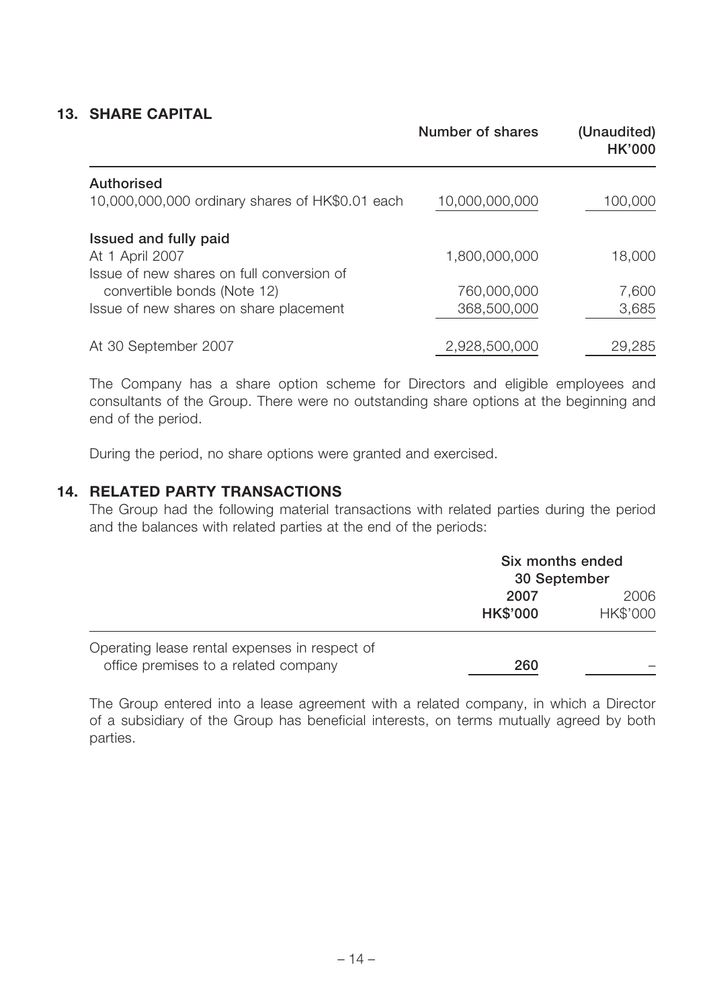### **13. SHARE CAPITAL**

|                                                 | <b>Number of shares</b> | (Unaudited)<br><b>HK'000</b> |
|-------------------------------------------------|-------------------------|------------------------------|
| <b>Authorised</b>                               |                         |                              |
| 10,000,000,000 ordinary shares of HK\$0.01 each | 10,000,000,000          | 100,000                      |
| Issued and fully paid                           |                         |                              |
| At 1 April 2007                                 | 1,800,000,000           | 18,000                       |
| Issue of new shares on full conversion of       |                         |                              |
| convertible bonds (Note 12)                     | 760,000,000             | 7,600                        |
| Issue of new shares on share placement          | 368,500,000             | 3,685                        |
| At 30 September 2007                            | 2,928,500,000           | 29,285                       |

The Company has a share option scheme for Directors and eligible employees and consultants of the Group. There were no outstanding share options at the beginning and end of the period.

During the period, no share options were granted and exercised.

#### **14. RELATED PARTY TRANSACTIONS**

The Group had the following material transactions with related parties during the period and the balances with related parties at the end of the periods:

|                                                                                       | Six months ended<br>30 September |                  |
|---------------------------------------------------------------------------------------|----------------------------------|------------------|
|                                                                                       | 2007<br><b>HK\$'000</b>          | 2006<br>HK\$'000 |
| Operating lease rental expenses in respect of<br>office premises to a related company | 260                              |                  |

The Group entered into a lease agreement with a related company, in which a Director of a subsidiary of the Group has beneficial interests, on terms mutually agreed by both parties.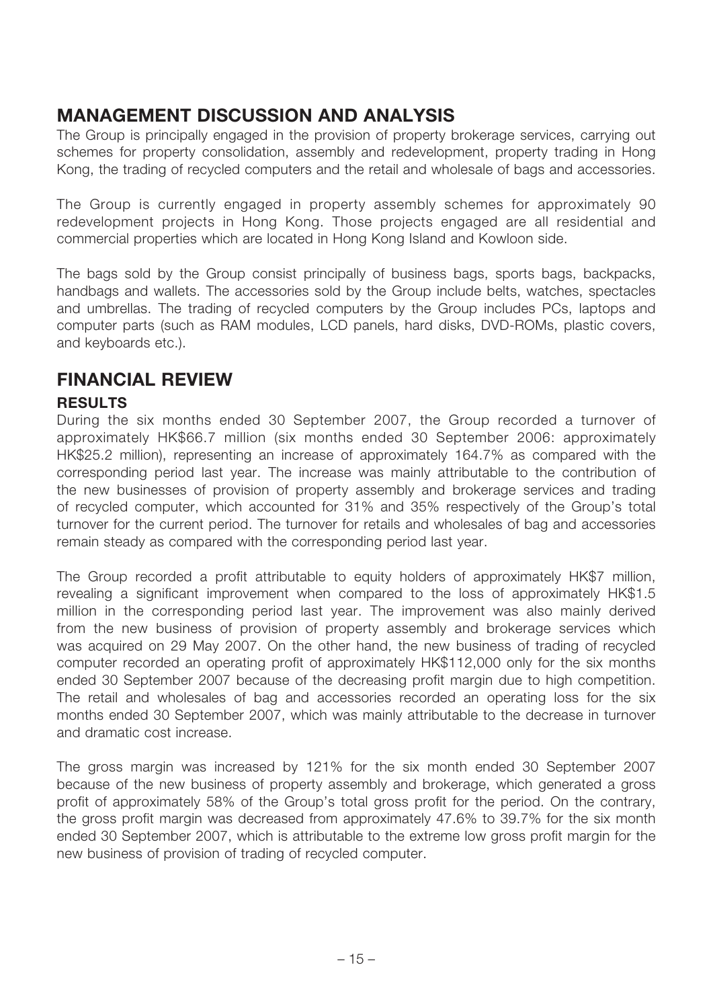## **MANAGEMENT DISCUSSION AND ANALYSIS**

The Group is principally engaged in the provision of property brokerage services, carrying out schemes for property consolidation, assembly and redevelopment, property trading in Hong Kong, the trading of recycled computers and the retail and wholesale of bags and accessories.

The Group is currently engaged in property assembly schemes for approximately 90 redevelopment projects in Hong Kong. Those projects engaged are all residential and commercial properties which are located in Hong Kong Island and Kowloon side.

The bags sold by the Group consist principally of business bags, sports bags, backpacks, handbags and wallets. The accessories sold by the Group include belts, watches, spectacles and umbrellas. The trading of recycled computers by the Group includes PCs, laptops and computer parts (such as RAM modules, LCD panels, hard disks, DVD-ROMs, plastic covers, and keyboards etc.).

## **FINANCIAL REVIEW**

### **RESULTS**

During the six months ended 30 September 2007, the Group recorded a turnover of approximately HK\$66.7 million (six months ended 30 September 2006: approximately HK\$25.2 million), representing an increase of approximately 164.7% as compared with the corresponding period last year. The increase was mainly attributable to the contribution of the new businesses of provision of property assembly and brokerage services and trading of recycled computer, which accounted for 31% and 35% respectively of the Group's total turnover for the current period. The turnover for retails and wholesales of bag and accessories remain steady as compared with the corresponding period last year.

The Group recorded a profit attributable to equity holders of approximately HK\$7 million, revealing a significant improvement when compared to the loss of approximately HK\$1.5 million in the corresponding period last year. The improvement was also mainly derived from the new business of provision of property assembly and brokerage services which was acquired on 29 May 2007. On the other hand, the new business of trading of recycled computer recorded an operating profit of approximately HK\$112,000 only for the six months ended 30 September 2007 because of the decreasing profit margin due to high competition. The retail and wholesales of bag and accessories recorded an operating loss for the six months ended 30 September 2007, which was mainly attributable to the decrease in turnover and dramatic cost increase.

The gross margin was increased by 121% for the six month ended 30 September 2007 because of the new business of property assembly and brokerage, which generated a gross profit of approximately 58% of the Group's total gross profit for the period. On the contrary, the gross profit margin was decreased from approximately 47.6% to 39.7% for the six month ended 30 September 2007, which is attributable to the extreme low gross profit margin for the new business of provision of trading of recycled computer.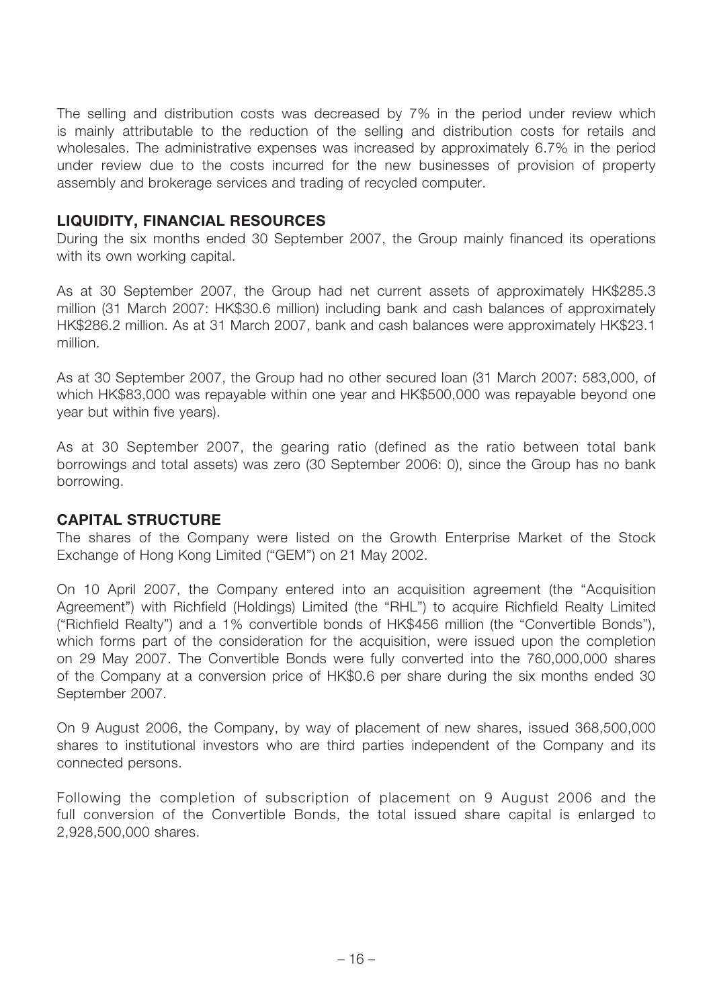The selling and distribution costs was decreased by 7% in the period under review which is mainly attributable to the reduction of the selling and distribution costs for retails and wholesales. The administrative expenses was increased by approximately 6.7% in the period under review due to the costs incurred for the new businesses of provision of property assembly and brokerage services and trading of recycled computer.

#### **LIQUIDITY, FINANCIAL RESOURCES**

During the six months ended 30 September 2007, the Group mainly financed its operations with its own working capital.

As at 30 September 2007, the Group had net current assets of approximately HK\$285.3 million (31 March 2007: HK\$30.6 million) including bank and cash balances of approximately HK\$286.2 million. As at 31 March 2007, bank and cash balances were approximately HK\$23.1 million.

As at 30 September 2007, the Group had no other secured loan (31 March 2007: 583,000, of which HK\$83,000 was repayable within one year and HK\$500,000 was repayable beyond one year but within five years).

As at 30 September 2007, the gearing ratio (defined as the ratio between total bank borrowings and total assets) was zero (30 September 2006: 0), since the Group has no bank borrowing.

#### **CAPITAL STRUCTURE**

The shares of the Company were listed on the Growth Enterprise Market of the Stock Exchange of Hong Kong Limited ("GEM") on 21 May 2002.

On 10 April 2007, the Company entered into an acquisition agreement (the "Acquisition Agreement") with Richfield (Holdings) Limited (the "RHL") to acquire Richfield Realty Limited ("Richfield Realty") and a 1% convertible bonds of HK\$456 million (the "Convertible Bonds"), which forms part of the consideration for the acquisition, were issued upon the completion on 29 May 2007. The Convertible Bonds were fully converted into the 760,000,000 shares of the Company at a conversion price of HK\$0.6 per share during the six months ended 30 September 2007.

On 9 August 2006, the Company, by way of placement of new shares, issued 368,500,000 shares to institutional investors who are third parties independent of the Company and its connected persons.

Following the completion of subscription of placement on 9 August 2006 and the full conversion of the Convertible Bonds, the total issued share capital is enlarged to 2,928,500,000 shares.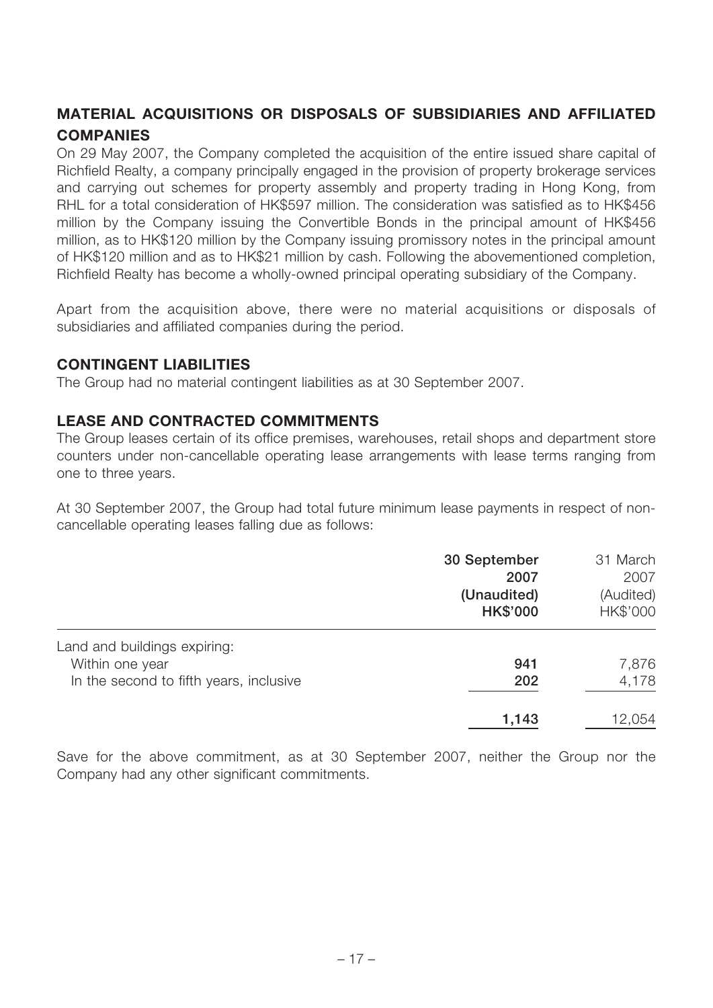### **MATERIAL ACQUISITIONS OR DISPOSALS OF SUBSIDIARIES AND AFFILIATED COMPANIES**

On 29 May 2007, the Company completed the acquisition of the entire issued share capital of Richfield Realty, a company principally engaged in the provision of property brokerage services and carrying out schemes for property assembly and property trading in Hong Kong, from RHL for a total consideration of HK\$597 million. The consideration was satisfied as to HK\$456 million by the Company issuing the Convertible Bonds in the principal amount of HK\$456 million, as to HK\$120 million by the Company issuing promissory notes in the principal amount of HK\$120 million and as to HK\$21 million by cash. Following the abovementioned completion, Richfield Realty has become a wholly-owned principal operating subsidiary of the Company.

Apart from the acquisition above, there were no material acquisitions or disposals of subsidiaries and affiliated companies during the period.

### **CONTINGENT LIABILITIES**

The Group had no material contingent liabilities as at 30 September 2007.

#### **LEASE AND CONTRACTED COMMITMENTS**

The Group leases certain of its office premises, warehouses, retail shops and department store counters under non-cancellable operating lease arrangements with lease terms ranging from one to three years.

At 30 September 2007, the Group had total future minimum lease payments in respect of noncancellable operating leases falling due as follows:

|                                         | 30 September<br>2007<br>(Unaudited)<br><b>HK\$'000</b> | 31 March<br>2007<br>(Audited)<br>HK\$'000 |
|-----------------------------------------|--------------------------------------------------------|-------------------------------------------|
| Land and buildings expiring:            |                                                        |                                           |
| Within one year                         | 941                                                    | 7,876                                     |
| In the second to fifth years, inclusive | 202                                                    | 4,178                                     |
|                                         | 1,143                                                  | 12,054                                    |

Save for the above commitment, as at 30 September 2007, neither the Group nor the Company had any other significant commitments.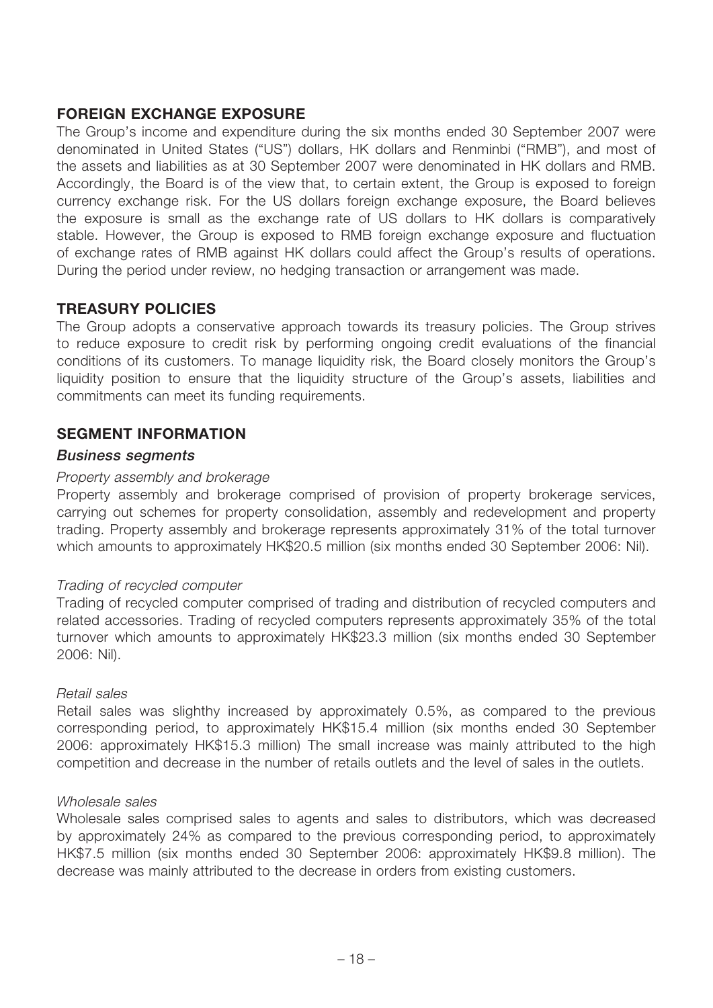#### **FOREIGN EXCHANGE EXPOSURE**

The Group's income and expenditure during the six months ended 30 September 2007 were denominated in United States ("US") dollars, HK dollars and Renminbi ("RMB"), and most of the assets and liabilities as at 30 September 2007 were denominated in HK dollars and RMB. Accordingly, the Board is of the view that, to certain extent, the Group is exposed to foreign currency exchange risk. For the US dollars foreign exchange exposure, the Board believes the exposure is small as the exchange rate of US dollars to HK dollars is comparatively stable. However, the Group is exposed to RMB foreign exchange exposure and fluctuation of exchange rates of RMB against HK dollars could affect the Group's results of operations. During the period under review, no hedging transaction or arrangement was made.

### **TREASURY POLICIES**

The Group adopts a conservative approach towards its treasury policies. The Group strives to reduce exposure to credit risk by performing ongoing credit evaluations of the financial conditions of its customers. To manage liquidity risk, the Board closely monitors the Group's liquidity position to ensure that the liquidity structure of the Group's assets, liabilities and commitments can meet its funding requirements.

#### **SEGMENT INFORMATION**

#### **Business segments**

#### Property assembly and brokerage

Property assembly and brokerage comprised of provision of property brokerage services, carrying out schemes for property consolidation, assembly and redevelopment and property trading. Property assembly and brokerage represents approximately 31% of the total turnover which amounts to approximately HK\$20.5 million (six months ended 30 September 2006: Nil).

#### Trading of recycled computer

Trading of recycled computer comprised of trading and distribution of recycled computers and related accessories. Trading of recycled computers represents approximately 35% of the total turnover which amounts to approximately HK\$23.3 million (six months ended 30 September 2006: Nil).

#### Retail sales

Retail sales was slighthy increased by approximately 0.5%, as compared to the previous corresponding period, to approximately HK\$15.4 million (six months ended 30 September 2006: approximately HK\$15.3 million) The small increase was mainly attributed to the high competition and decrease in the number of retails outlets and the level of sales in the outlets.

#### Wholesale sales

Wholesale sales comprised sales to agents and sales to distributors, which was decreased by approximately 24% as compared to the previous corresponding period, to approximately HK\$7.5 million (six months ended 30 September 2006: approximately HK\$9.8 million). The decrease was mainly attributed to the decrease in orders from existing customers.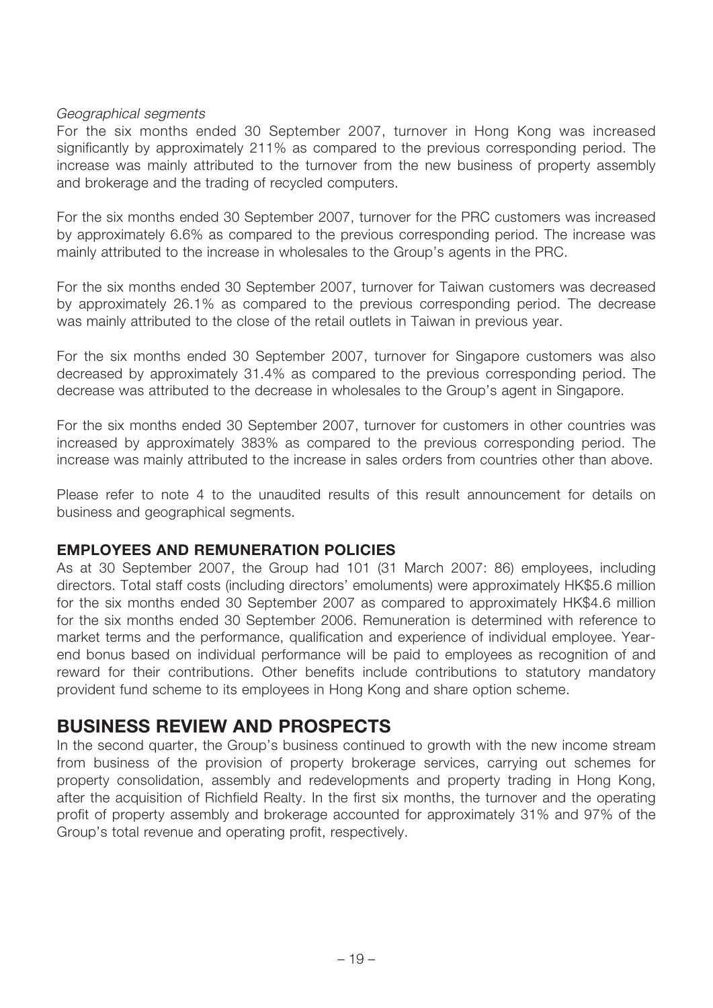#### Geographical segments

For the six months ended 30 September 2007, turnover in Hong Kong was increased significantly by approximately 211% as compared to the previous corresponding period. The increase was mainly attributed to the turnover from the new business of property assembly and brokerage and the trading of recycled computers.

For the six months ended 30 September 2007, turnover for the PRC customers was increased by approximately 6.6% as compared to the previous corresponding period. The increase was mainly attributed to the increase in wholesales to the Group's agents in the PRC.

For the six months ended 30 September 2007, turnover for Taiwan customers was decreased by approximately 26.1% as compared to the previous corresponding period. The decrease was mainly attributed to the close of the retail outlets in Taiwan in previous year.

For the six months ended 30 September 2007, turnover for Singapore customers was also decreased by approximately 31.4% as compared to the previous corresponding period. The decrease was attributed to the decrease in wholesales to the Group's agent in Singapore.

For the six months ended 30 September 2007, turnover for customers in other countries was increased by approximately 383% as compared to the previous corresponding period. The increase was mainly attributed to the increase in sales orders from countries other than above.

Please refer to note 4 to the unaudited results of this result announcement for details on business and geographical segments.

#### **EMPLOYEES AND REMUNERATION POLICIES**

As at 30 September 2007, the Group had 101 (31 March 2007: 86) employees, including directors. Total staff costs (including directors' emoluments) were approximately HK\$5.6 million for the six months ended 30 September 2007 as compared to approximately HK\$4.6 million for the six months ended 30 September 2006. Remuneration is determined with reference to market terms and the performance, qualification and experience of individual employee. Yearend bonus based on individual performance will be paid to employees as recognition of and reward for their contributions. Other benefits include contributions to statutory mandatory provident fund scheme to its employees in Hong Kong and share option scheme.

### **BUSINESS REVIEW AND PROSPECTS**

In the second quarter, the Group's business continued to growth with the new income stream from business of the provision of property brokerage services, carrying out schemes for property consolidation, assembly and redevelopments and property trading in Hong Kong, after the acquisition of Richfield Realty. In the first six months, the turnover and the operating profit of property assembly and brokerage accounted for approximately 31% and 97% of the Group's total revenue and operating profit, respectively.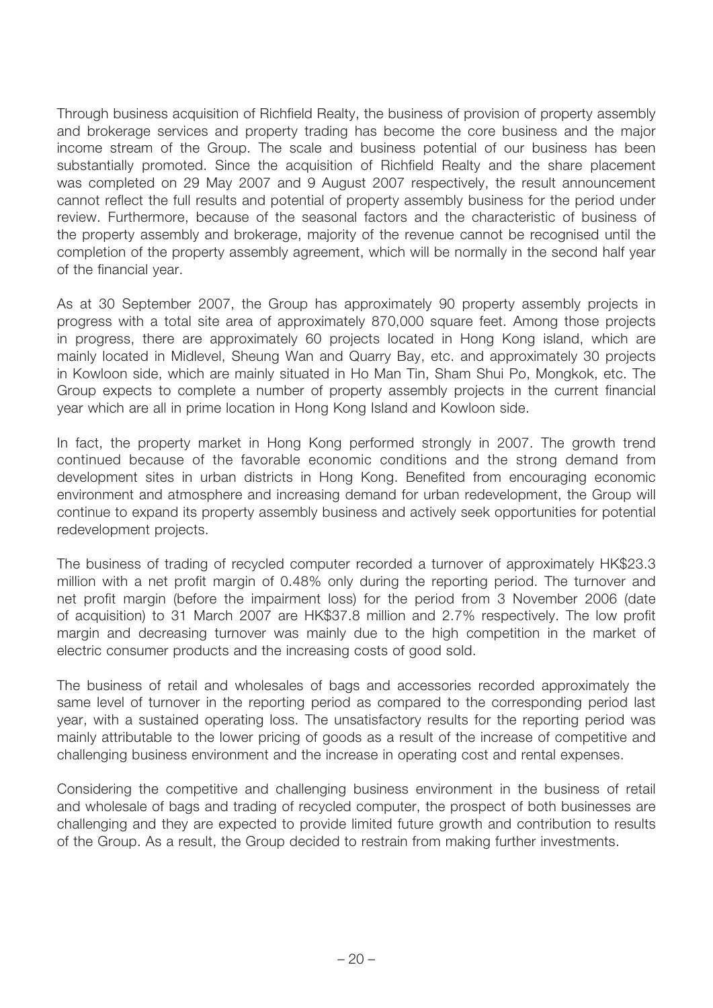Through business acquisition of Richfield Realty, the business of provision of property assembly and brokerage services and property trading has become the core business and the major income stream of the Group. The scale and business potential of our business has been substantially promoted. Since the acquisition of Richfield Realty and the share placement was completed on 29 May 2007 and 9 August 2007 respectively, the result announcement cannot reflect the full results and potential of property assembly business for the period under review. Furthermore, because of the seasonal factors and the characteristic of business of the property assembly and brokerage, majority of the revenue cannot be recognised until the completion of the property assembly agreement, which will be normally in the second half year of the financial year.

As at 30 September 2007, the Group has approximately 90 property assembly projects in progress with a total site area of approximately 870,000 square feet. Among those projects in progress, there are approximately 60 projects located in Hong Kong island, which are mainly located in Midlevel, Sheung Wan and Quarry Bay, etc. and approximately 30 projects in Kowloon side, which are mainly situated in Ho Man Tin, Sham Shui Po, Mongkok, etc. The Group expects to complete a number of property assembly projects in the current financial year which are all in prime location in Hong Kong Island and Kowloon side.

In fact, the property market in Hong Kong performed strongly in 2007. The growth trend continued because of the favorable economic conditions and the strong demand from development sites in urban districts in Hong Kong. Benefited from encouraging economic environment and atmosphere and increasing demand for urban redevelopment, the Group will continue to expand its property assembly business and actively seek opportunities for potential redevelopment projects.

The business of trading of recycled computer recorded a turnover of approximately HK\$23.3 million with a net profit margin of 0.48% only during the reporting period. The turnover and net profit margin (before the impairment loss) for the period from 3 November 2006 (date of acquisition) to 31 March 2007 are HK\$37.8 million and 2.7% respectively. The low profit margin and decreasing turnover was mainly due to the high competition in the market of electric consumer products and the increasing costs of good sold.

The business of retail and wholesales of bags and accessories recorded approximately the same level of turnover in the reporting period as compared to the corresponding period last year, with a sustained operating loss. The unsatisfactory results for the reporting period was mainly attributable to the lower pricing of goods as a result of the increase of competitive and challenging business environment and the increase in operating cost and rental expenses.

Considering the competitive and challenging business environment in the business of retail and wholesale of bags and trading of recycled computer, the prospect of both businesses are challenging and they are expected to provide limited future growth and contribution to results of the Group. As a result, the Group decided to restrain from making further investments.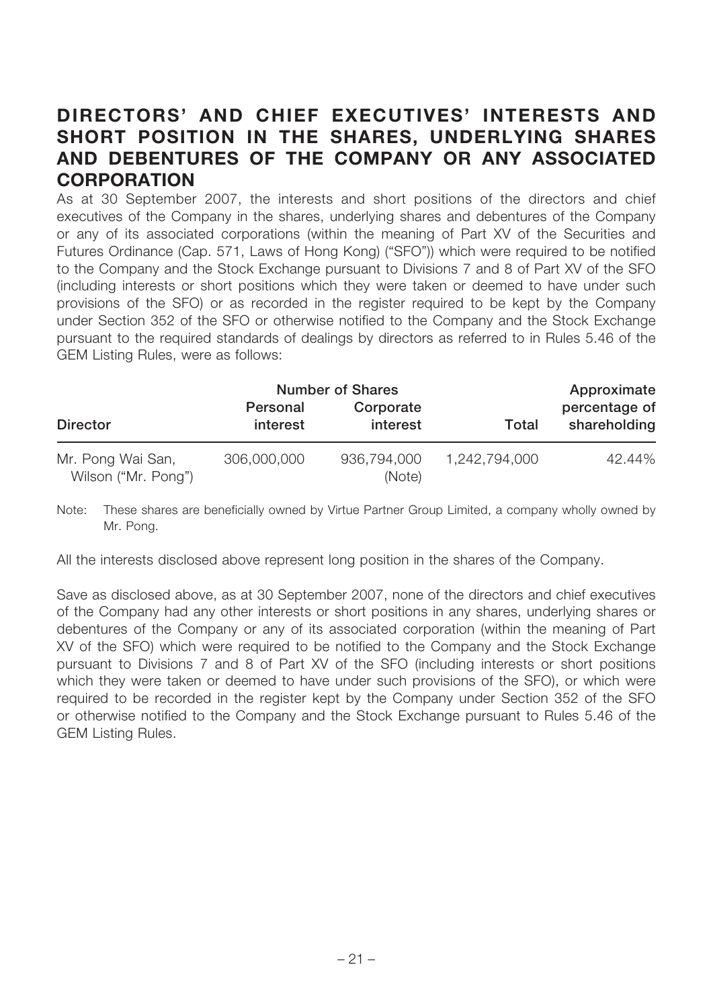## **DIRECTORS' AND CHIEF EXECUTIVES' INTERESTS AND SHORT POSITION IN THE SHARES, UNDERLYING SHARES AND DEBENTURES OF THE COMPANY OR ANY ASSOCIATED CORPORATION**

As at 30 September 2007, the interests and short positions of the directors and chief executives of the Company in the shares, underlying shares and debentures of the Company or any of its associated corporations (within the meaning of Part XV of the Securities and Futures Ordinance (Cap. 571, Laws of Hong Kong) ("SFO")) which were required to be notified to the Company and the Stock Exchange pursuant to Divisions 7 and 8 of Part XV of the SFO (including interests or short positions which they were taken or deemed to have under such provisions of the SFO) or as recorded in the register required to be kept by the Company under Section 352 of the SFO or otherwise notified to the Company and the Stock Exchange pursuant to the required standards of dealings by directors as referred to in Rules 5.46 of the GEM Listing Rules, were as follows:

|                                          | <b>Number of Shares</b> |                       |               | Approximate                   |
|------------------------------------------|-------------------------|-----------------------|---------------|-------------------------------|
| <b>Director</b>                          | Personal<br>interest    | Corporate<br>interest | Total         | percentage of<br>shareholding |
| Mr. Pong Wai San,<br>Wilson ("Mr. Pong") | 306,000,000             | 936,794,000<br>(Note) | 1,242,794,000 | 42.44%                        |

Note: These shares are beneficially owned by Virtue Partner Group Limited, a company wholly owned by Mr. Pong.

All the interests disclosed above represent long position in the shares of the Company.

Save as disclosed above, as at 30 September 2007, none of the directors and chief executives of the Company had any other interests or short positions in any shares, underlying shares or debentures of the Company or any of its associated corporation (within the meaning of Part XV of the SFO) which were required to be notified to the Company and the Stock Exchange pursuant to Divisions 7 and 8 of Part XV of the SFO (including interests or short positions which they were taken or deemed to have under such provisions of the SFO), or which were required to be recorded in the register kept by the Company under Section 352 of the SFO or otherwise notified to the Company and the Stock Exchange pursuant to Rules 5.46 of the GEM Listing Rules.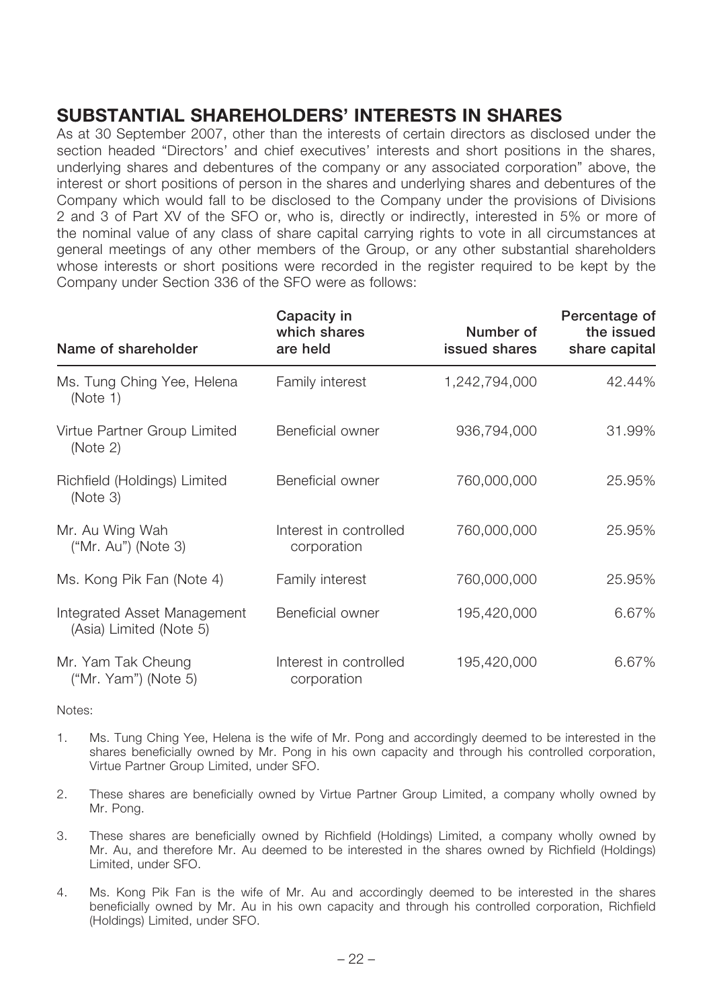## **SUBSTANTIAL SHAREHOLDERS' INTERESTS IN SHARES**

As at 30 September 2007, other than the interests of certain directors as disclosed under the section headed "Directors' and chief executives' interests and short positions in the shares, underlying shares and debentures of the company or any associated corporation" above, the interest or short positions of person in the shares and underlying shares and debentures of the Company which would fall to be disclosed to the Company under the provisions of Divisions 2 and 3 of Part XV of the SFO or, who is, directly or indirectly, interested in 5% or more of the nominal value of any class of share capital carrying rights to vote in all circumstances at general meetings of any other members of the Group, or any other substantial shareholders whose interests or short positions were recorded in the register required to be kept by the Company under Section 336 of the SFO were as follows:

| Name of shareholder                                    | Capacity in<br>which shares<br>are held | Number of<br>issued shares | Percentage of<br>the issued<br>share capital |
|--------------------------------------------------------|-----------------------------------------|----------------------------|----------------------------------------------|
| Ms. Tung Ching Yee, Helena<br>(Note 1)                 | Family interest                         | 1,242,794,000              | 42.44%                                       |
| Virtue Partner Group Limited<br>(Note 2)               | Beneficial owner                        | 936,794,000                | 31.99%                                       |
| Richfield (Holdings) Limited<br>(Note 3)               | Beneficial owner                        | 760,000,000                | 25.95%                                       |
| Mr. Au Wing Wah<br>("Mr. Au") (Note 3)                 | Interest in controlled<br>corporation   | 760,000,000                | 25.95%                                       |
| Ms. Kong Pik Fan (Note 4)                              | Family interest                         | 760,000,000                | 25.95%                                       |
| Integrated Asset Management<br>(Asia) Limited (Note 5) | Beneficial owner                        | 195,420,000                | 6.67%                                        |
| Mr. Yam Tak Cheung<br>("Mr. Yam") (Note $5$ )          | Interest in controlled<br>corporation   | 195,420,000                | 6.67%                                        |

Notes:

- 1. Ms. Tung Ching Yee, Helena is the wife of Mr. Pong and accordingly deemed to be interested in the shares beneficially owned by Mr. Pong in his own capacity and through his controlled corporation, Virtue Partner Group Limited, under SFO.
- 2. These shares are beneficially owned by Virtue Partner Group Limited, a company wholly owned by Mr. Pong.
- 3. These shares are beneficially owned by Richfield (Holdings) Limited, a company wholly owned by Mr. Au, and therefore Mr. Au deemed to be interested in the shares owned by Richfield (Holdings) Limited, under SFO.
- 4. Ms. Kong Pik Fan is the wife of Mr. Au and accordingly deemed to be interested in the shares beneficially owned by Mr. Au in his own capacity and through his controlled corporation, Richfield (Holdings) Limited, under SFO.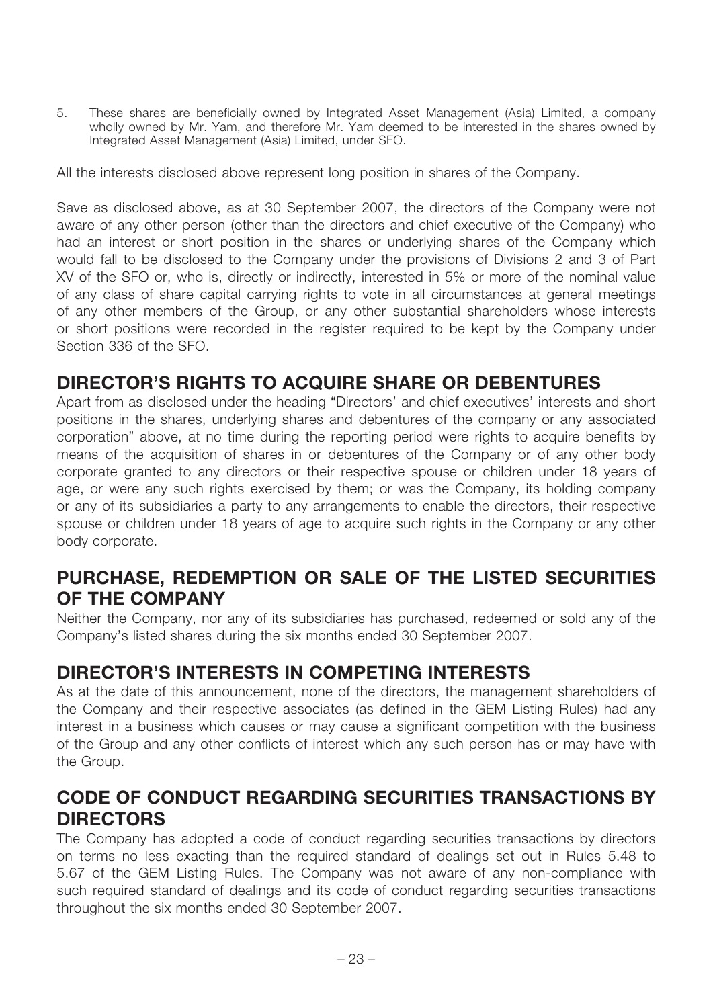5. These shares are beneficially owned by Integrated Asset Management (Asia) Limited, a company wholly owned by Mr. Yam, and therefore Mr. Yam deemed to be interested in the shares owned by Integrated Asset Management (Asia) Limited, under SFO.

All the interests disclosed above represent long position in shares of the Company.

Save as disclosed above, as at 30 September 2007, the directors of the Company were not aware of any other person (other than the directors and chief executive of the Company) who had an interest or short position in the shares or underlying shares of the Company which would fall to be disclosed to the Company under the provisions of Divisions 2 and 3 of Part XV of the SFO or, who is, directly or indirectly, interested in 5% or more of the nominal value of any class of share capital carrying rights to vote in all circumstances at general meetings of any other members of the Group, or any other substantial shareholders whose interests or short positions were recorded in the register required to be kept by the Company under Section 336 of the SFO.

## **DIRECTOR'S RIGHTS TO ACQUIRE SHARE OR DEBENTURES**

Apart from as disclosed under the heading "Directors' and chief executives' interests and short positions in the shares, underlying shares and debentures of the company or any associated corporation" above, at no time during the reporting period were rights to acquire benefits by means of the acquisition of shares in or debentures of the Company or of any other body corporate granted to any directors or their respective spouse or children under 18 years of age, or were any such rights exercised by them; or was the Company, its holding company or any of its subsidiaries a party to any arrangements to enable the directors, their respective spouse or children under 18 years of age to acquire such rights in the Company or any other body corporate.

## **PURCHASE, REDEMPTION OR SALE OF THE LISTED SECURITIES OF THE COMPANY**

Neither the Company, nor any of its subsidiaries has purchased, redeemed or sold any of the Company's listed shares during the six months ended 30 September 2007.

## **DIRECTOR'S INTERESTS IN COMPETING INTERESTS**

As at the date of this announcement, none of the directors, the management shareholders of the Company and their respective associates (as defined in the GEM Listing Rules) had any interest in a business which causes or may cause a significant competition with the business of the Group and any other conflicts of interest which any such person has or may have with the Group.

## **CODE OF CONDUCT REGARDING SECURITIES TRANSACTIONS BY DIRECTORS**

The Company has adopted a code of conduct regarding securities transactions by directors on terms no less exacting than the required standard of dealings set out in Rules 5.48 to 5.67 of the GEM Listing Rules. The Company was not aware of any non-compliance with such required standard of dealings and its code of conduct regarding securities transactions throughout the six months ended 30 September 2007.